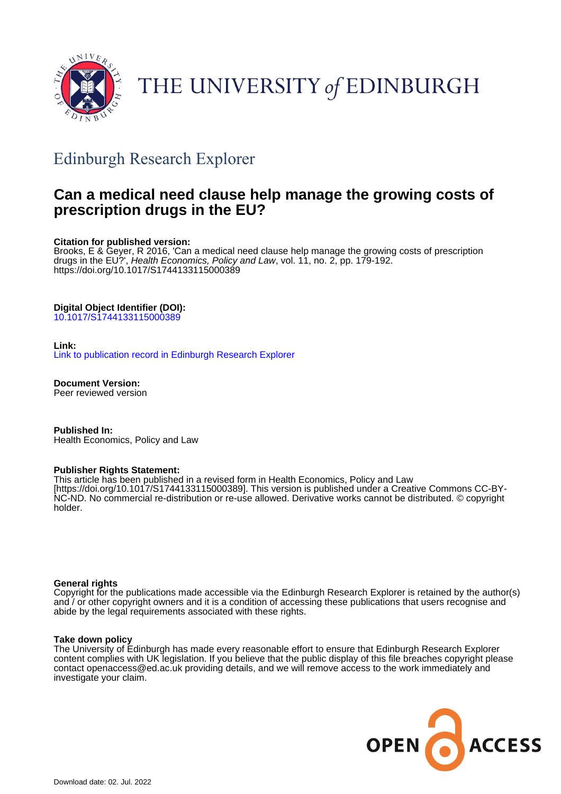

# THE UNIVERSITY of EDINBURGH

# Edinburgh Research Explorer

# **Can a medical need clause help manage the growing costs of prescription drugs in the EU?**

#### **Citation for published version:**

Brooks, E & Geyer, R 2016, 'Can a medical need clause help manage the growing costs of prescription drugs in the EU?', Health Economics, Policy and Law, vol. 11, no. 2, pp. 179-192. <https://doi.org/10.1017/S1744133115000389>

#### **Digital Object Identifier (DOI):**

[10.1017/S1744133115000389](https://doi.org/10.1017/S1744133115000389)

#### **Link:**

[Link to publication record in Edinburgh Research Explorer](https://www.research.ed.ac.uk/en/publications/56c358b6-2320-43f6-9425-9ebfde818a48)

**Document Version:** Peer reviewed version

**Published In:** Health Economics, Policy and Law

#### **Publisher Rights Statement:**

This article has been published in a revised form in Health Economics, Policy and Law [https://doi.org/10.1017/S1744133115000389]. This version is published under a Creative Commons CC-BY-NC-ND. No commercial re-distribution or re-use allowed. Derivative works cannot be distributed. © copyright holder.

#### **General rights**

Copyright for the publications made accessible via the Edinburgh Research Explorer is retained by the author(s) and / or other copyright owners and it is a condition of accessing these publications that users recognise and abide by the legal requirements associated with these rights.

#### **Take down policy**

The University of Edinburgh has made every reasonable effort to ensure that Edinburgh Research Explorer content complies with UK legislation. If you believe that the public display of this file breaches copyright please contact openaccess@ed.ac.uk providing details, and we will remove access to the work immediately and investigate your claim.

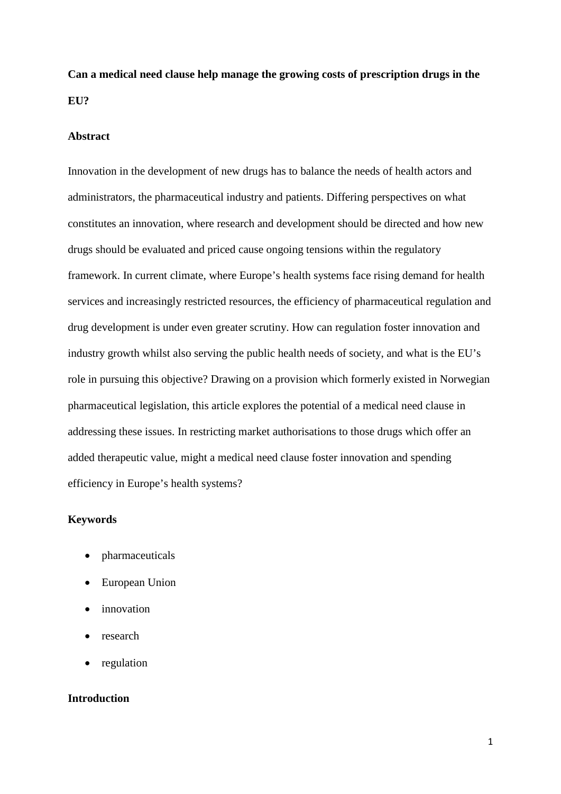**Can a medical need clause help manage the growing costs of prescription drugs in the EU?**

#### **Abstract**

Innovation in the development of new drugs has to balance the needs of health actors and administrators, the pharmaceutical industry and patients. Differing perspectives on what constitutes an innovation, where research and development should be directed and how new drugs should be evaluated and priced cause ongoing tensions within the regulatory framework. In current climate, where Europe's health systems face rising demand for health services and increasingly restricted resources, the efficiency of pharmaceutical regulation and drug development is under even greater scrutiny. How can regulation foster innovation and industry growth whilst also serving the public health needs of society, and what is the EU's role in pursuing this objective? Drawing on a provision which formerly existed in Norwegian pharmaceutical legislation, this article explores the potential of a medical need clause in addressing these issues. In restricting market authorisations to those drugs which offer an added therapeutic value, might a medical need clause foster innovation and spending efficiency in Europe's health systems?

#### **Keywords**

- pharmaceuticals
- European Union
- innovation
- research
- regulation

#### **Introduction**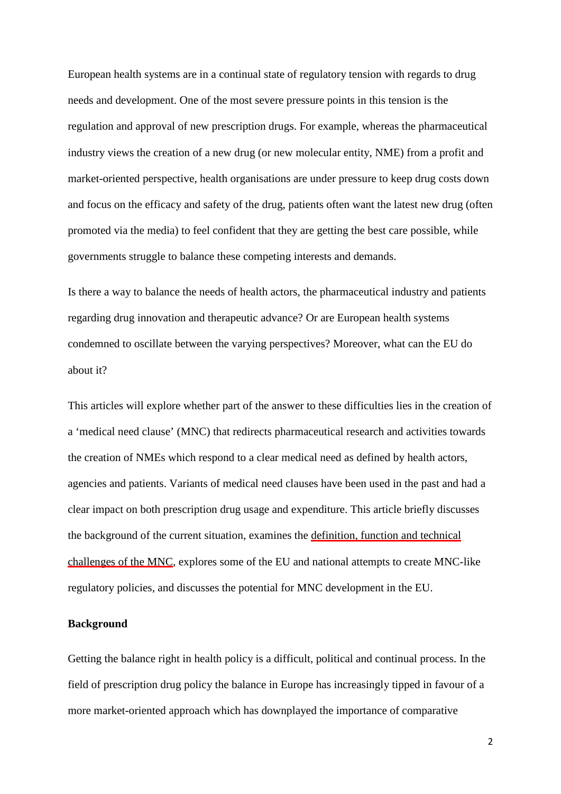European health systems are in a continual state of regulatory tension with regards to drug needs and development. One of the most severe pressure points in this tension is the regulation and approval of new prescription drugs. For example, whereas the pharmaceutical industry views the creation of a new drug (or new molecular entity, NME) from a profit and market-oriented perspective, health organisations are under pressure to keep drug costs down and focus on the efficacy and safety of the drug, patients often want the latest new drug (often promoted via the media) to feel confident that they are getting the best care possible, while governments struggle to balance these competing interests and demands.

Is there a way to balance the needs of health actors, the pharmaceutical industry and patients regarding drug innovation and therapeutic advance? Or are European health systems condemned to oscillate between the varying perspectives? Moreover, what can the EU do about it?

This articles will explore whether part of the answer to these difficulties lies in the creation of a 'medical need clause' (MNC) that redirects pharmaceutical research and activities towards the creation of NMEs which respond to a clear medical need as defined by health actors, agencies and patients. Variants of medical need clauses have been used in the past and had a clear impact on both prescription drug usage and expenditure. This article briefly discusses the background of the current situation, examines the definition, function and technical challenges of the MNC, explores some of the EU and national attempts to create MNC-like regulatory policies, and discusses the potential for MNC development in the EU.

#### **Background**

Getting the balance right in health policy is a difficult, political and continual process. In the field of prescription drug policy the balance in Europe has increasingly tipped in favour of a more market-oriented approach which has downplayed the importance of comparative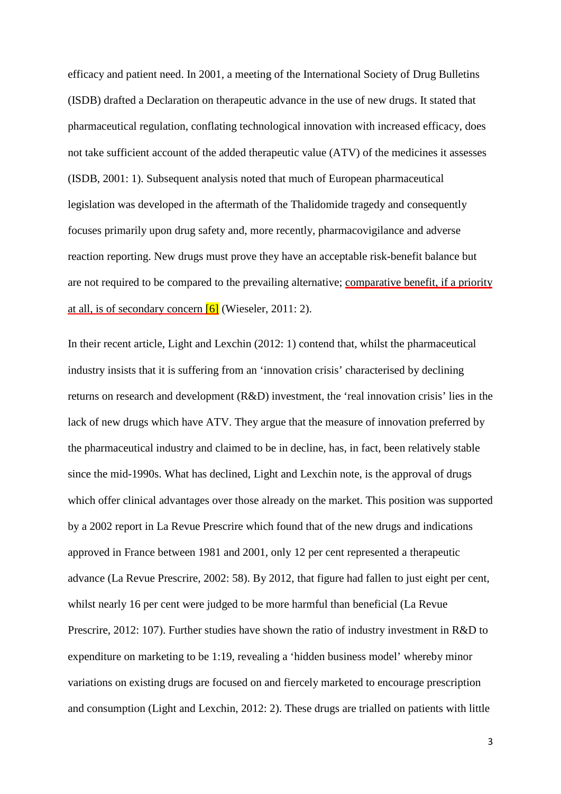efficacy and patient need. In 2001, a meeting of the International Society of Drug Bulletins (ISDB) drafted a Declaration on therapeutic advance in the use of new drugs. It stated that pharmaceutical regulation, conflating technological innovation with increased efficacy, does not take sufficient account of the added therapeutic value (ATV) of the medicines it assesses (ISDB, 2001: 1). Subsequent analysis noted that much of European pharmaceutical legislation was developed in the aftermath of the Thalidomide tragedy and consequently focuses primarily upon drug safety and, more recently, pharmacovigilance and adverse reaction reporting. New drugs must prove they have an acceptable risk-benefit balance but are not required to be compared to the prevailing alternative; comparative benefit, if a priority at all, is of secondary concern  $\overline{6}$  (Wieseler, 2011: 2).

In their recent article, Light and Lexchin (2012: 1) contend that, whilst the pharmaceutical industry insists that it is suffering from an 'innovation crisis' characterised by declining returns on research and development (R&D) investment, the 'real innovation crisis' lies in the lack of new drugs which have ATV. They argue that the measure of innovation preferred by the pharmaceutical industry and claimed to be in decline, has, in fact, been relatively stable since the mid-1990s. What has declined, Light and Lexchin note, is the approval of drugs which offer clinical advantages over those already on the market. This position was supported by a 2002 report in La Revue Prescrire which found that of the new drugs and indications approved in France between 1981 and 2001, only 12 per cent represented a therapeutic advance (La Revue Prescrire, 2002: 58). By 2012, that figure had fallen to just eight per cent, whilst nearly 16 per cent were judged to be more harmful than beneficial (La Revue Prescrire, 2012: 107). Further studies have shown the ratio of industry investment in R&D to expenditure on marketing to be 1:19, revealing a 'hidden business model' whereby minor variations on existing drugs are focused on and fiercely marketed to encourage prescription and consumption (Light and Lexchin, 2012: 2). These drugs are trialled on patients with little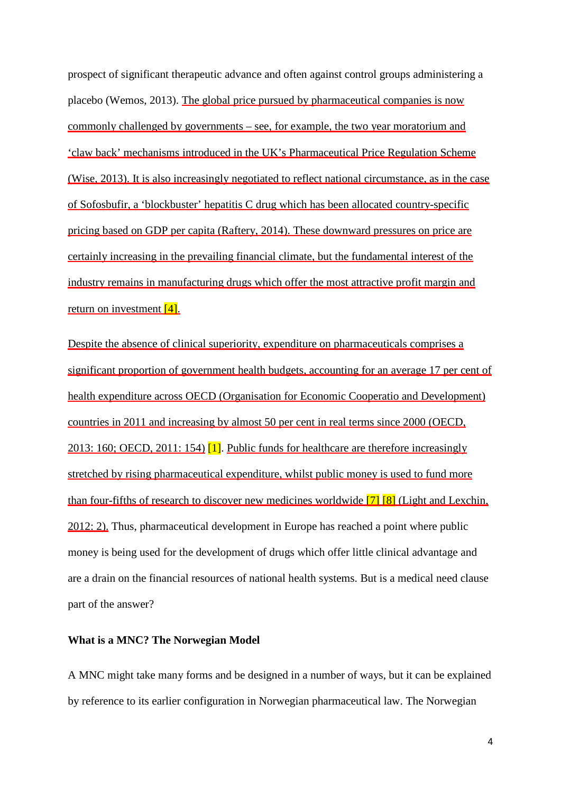prospect of significant therapeutic advance and often against control groups administering a placebo (Wemos, 2013). The global price pursued by pharmaceutical companies is now commonly challenged by governments – see, for example, the two year moratorium and 'claw back' mechanisms introduced in the UK's Pharmaceutical Price Regulation Scheme (Wise, 2013). It is also increasingly negotiated to reflect national circumstance, as in the case of Sofosbufir, a 'blockbuster' hepatitis C drug which has been allocated country-specific pricing based on GDP per capita (Raftery, 2014). These downward pressures on price are certainly increasing in the prevailing financial climate, but the fundamental interest of the industry remains in manufacturing drugs which offer the most attractive profit margin and return on investment  $[4]$ .

Despite the absence of clinical superiority, expenditure on pharmaceuticals comprises a significant proportion of government health budgets, accounting for an average 17 per cent of health expenditure across OECD (Organisation for Economic Cooperatio and Development) countries in 2011 and increasing by almost 50 per cent in real terms since 2000 (OECD, 2013: 160; OECD, 2011: 154) [1]. Public funds for healthcare are therefore increasingly stretched by rising pharmaceutical expenditure, whilst public money is used to fund more than four-fifths of research to discover new medicines worldwide  $\overline{7}$   $\overline{8}$  (Light and Lexchin, 2012: 2). Thus, pharmaceutical development in Europe has reached a point where public money is being used for the development of drugs which offer little clinical advantage and are a drain on the financial resources of national health systems. But is a medical need clause part of the answer?

#### **What is a MNC? The Norwegian Model**

A MNC might take many forms and be designed in a number of ways, but it can be explained by reference to its earlier configuration in Norwegian pharmaceutical law. The Norwegian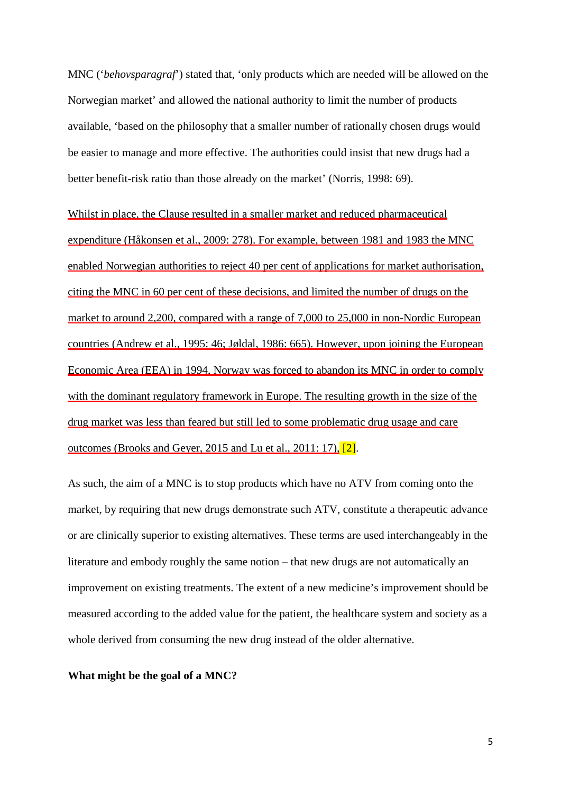MNC ('*behovsparagraf*') stated that, 'only products which are needed will be allowed on the Norwegian market' and allowed the national authority to limit the number of products available, 'based on the philosophy that a smaller number of rationally chosen drugs would be easier to manage and more effective. The authorities could insist that new drugs had a better benefit-risk ratio than those already on the market' (Norris, 1998: 69).

Whilst in place, the Clause resulted in a smaller market and reduced pharmaceutical expenditure (Håkonsen et al., 2009: 278). For example, between 1981 and 1983 the MNC enabled Norwegian authorities to reject 40 per cent of applications for market authorisation, citing the MNC in 60 per cent of these decisions, and limited the number of drugs on the market to around 2,200, compared with a range of 7,000 to 25,000 in non-Nordic European countries (Andrew et al., 1995: 46; Jøldal, 1986: 665). However, upon joining the European Economic Area (EEA) in 1994, Norway was forced to abandon its MNC in order to comply with the dominant regulatory framework in Europe. The resulting growth in the size of the drug market was less than feared but still led to some problematic drug usage and care outcomes (Brooks and Geyer, 2015 and Lu et al., 2011: 17), [2].

As such, the aim of a MNC is to stop products which have no ATV from coming onto the market, by requiring that new drugs demonstrate such ATV, constitute a therapeutic advance or are clinically superior to existing alternatives. These terms are used interchangeably in the literature and embody roughly the same notion – that new drugs are not automatically an improvement on existing treatments. The extent of a new medicine's improvement should be measured according to the added value for the patient, the healthcare system and society as a whole derived from consuming the new drug instead of the older alternative.

**What might be the goal of a MNC?**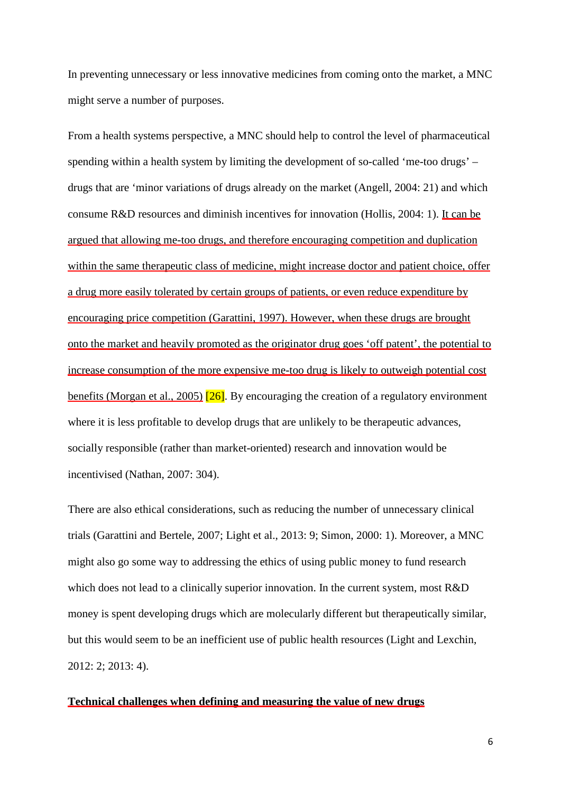In preventing unnecessary or less innovative medicines from coming onto the market, a MNC might serve a number of purposes.

From a health systems perspective, a MNC should help to control the level of pharmaceutical spending within a health system by limiting the development of so-called 'me-too drugs' – drugs that are 'minor variations of drugs already on the market (Angell, 2004: 21) and which consume R&D resources and diminish incentives for innovation (Hollis, 2004: 1). It can be argued that allowing me-too drugs, and therefore encouraging competition and duplication within the same therapeutic class of medicine, might increase doctor and patient choice, offer a drug more easily tolerated by certain groups of patients, or even reduce expenditure by encouraging price competition (Garattini, 1997). However, when these drugs are brought onto the market and heavily promoted as the originator drug goes 'off patent', the potential to increase consumption of the more expensive me-too drug is likely to outweigh potential cost benefits (Morgan et al., 2005) [26]. By encouraging the creation of a regulatory environment where it is less profitable to develop drugs that are unlikely to be therapeutic advances, socially responsible (rather than market-oriented) research and innovation would be incentivised (Nathan, 2007: 304).

There are also ethical considerations, such as reducing the number of unnecessary clinical trials (Garattini and Bertele, 2007; Light et al., 2013: 9; Simon, 2000: 1). Moreover, a MNC might also go some way to addressing the ethics of using public money to fund research which does not lead to a clinically superior innovation. In the current system, most R&D money is spent developing drugs which are molecularly different but therapeutically similar, but this would seem to be an inefficient use of public health resources (Light and Lexchin, 2012: 2; 2013: 4).

#### **Technical challenges when defining and measuring the value of new drugs**

6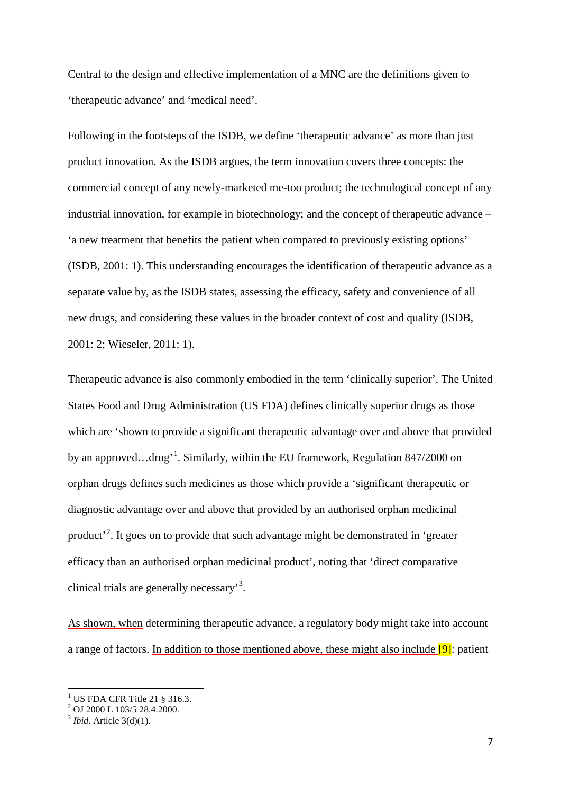Central to the design and effective implementation of a MNC are the definitions given to 'therapeutic advance' and 'medical need'.

Following in the footsteps of the ISDB, we define 'therapeutic advance' as more than just product innovation. As the ISDB argues, the term innovation covers three concepts: the commercial concept of any newly-marketed me-too product; the technological concept of any industrial innovation, for example in biotechnology; and the concept of therapeutic advance – 'a new treatment that benefits the patient when compared to previously existing options' (ISDB, 2001: 1). This understanding encourages the identification of therapeutic advance as a separate value by, as the ISDB states, assessing the efficacy, safety and convenience of all new drugs, and considering these values in the broader context of cost and quality (ISDB, 2001: 2; Wieseler, 2011: 1).

Therapeutic advance is also commonly embodied in the term 'clinically superior'. The United States Food and Drug Administration (US FDA) defines clinically superior drugs as those which are 'shown to provide a significant therapeutic advantage over and above that provided by an approved...drug'<sup>[1](#page-7-0)</sup>. Similarly, within the EU framework, Regulation 847/2000 on orphan drugs defines such medicines as those which provide a 'significant therapeutic or diagnostic advantage over and above that provided by an authorised orphan medicinal product<sup>[2](#page-7-1)</sup>. It goes on to provide that such advantage might be demonstrated in 'greater efficacy than an authorised orphan medicinal product', noting that 'direct comparative clinical trials are generally necessary'<sup>[3](#page-7-2)</sup>.

As shown, when determining therapeutic advance, a regulatory body might take into account a range of factors. In addition to those mentioned above, these might also include [9]: patient

<span id="page-7-0"></span><sup>&</sup>lt;sup>1</sup> US FDA CFR Title 21 § 316.3.<br><sup>2</sup> OJ 2000 L 103/5 28.4.2000.

<span id="page-7-2"></span><span id="page-7-1"></span><sup>3</sup> *Ibid*. Article 3(d)(1).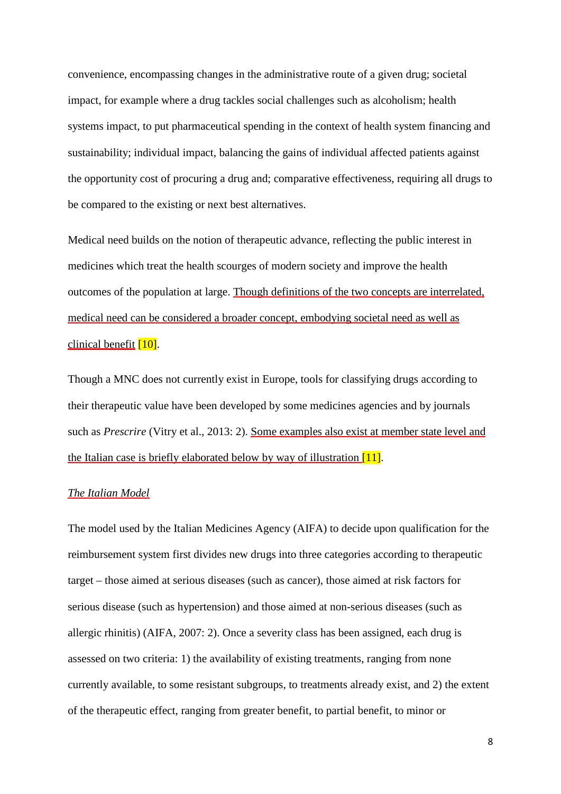convenience, encompassing changes in the administrative route of a given drug; societal impact, for example where a drug tackles social challenges such as alcoholism; health systems impact, to put pharmaceutical spending in the context of health system financing and sustainability; individual impact, balancing the gains of individual affected patients against the opportunity cost of procuring a drug and; comparative effectiveness, requiring all drugs to be compared to the existing or next best alternatives.

Medical need builds on the notion of therapeutic advance, reflecting the public interest in medicines which treat the health scourges of modern society and improve the health outcomes of the population at large. Though definitions of the two concepts are interrelated, medical need can be considered a broader concept, embodying societal need as well as clinical benefit [10].

Though a MNC does not currently exist in Europe, tools for classifying drugs according to their therapeutic value have been developed by some medicines agencies and by journals such as *Prescrire* (Vitry et al., 2013: 2). Some examples also exist at member state level and the Italian case is briefly elaborated below by way of illustration [11].

#### *The Italian Model*

The model used by the Italian Medicines Agency (AIFA) to decide upon qualification for the reimbursement system first divides new drugs into three categories according to therapeutic target – those aimed at serious diseases (such as cancer), those aimed at risk factors for serious disease (such as hypertension) and those aimed at non-serious diseases (such as allergic rhinitis) (AIFA, 2007: 2). Once a severity class has been assigned, each drug is assessed on two criteria: 1) the availability of existing treatments, ranging from none currently available, to some resistant subgroups, to treatments already exist, and 2) the extent of the therapeutic effect, ranging from greater benefit, to partial benefit, to minor or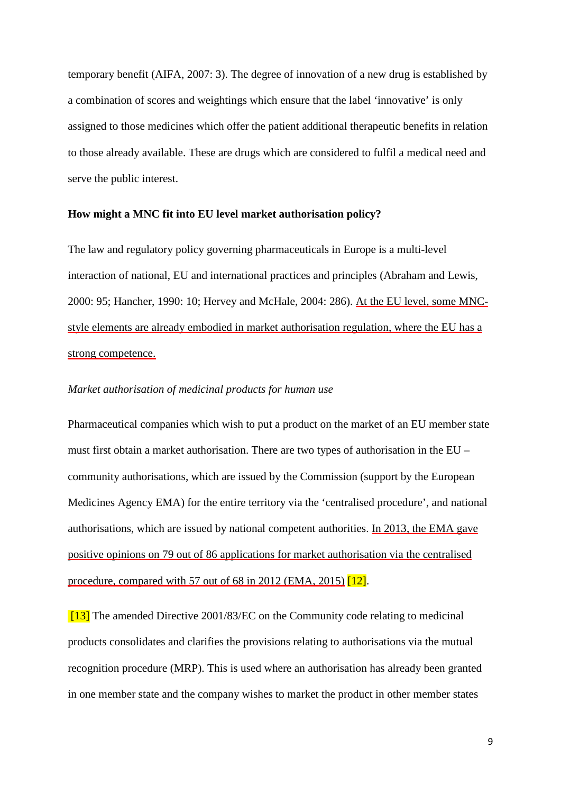temporary benefit (AIFA, 2007: 3). The degree of innovation of a new drug is established by a combination of scores and weightings which ensure that the label 'innovative' is only assigned to those medicines which offer the patient additional therapeutic benefits in relation to those already available. These are drugs which are considered to fulfil a medical need and serve the public interest.

#### **How might a MNC fit into EU level market authorisation policy?**

The law and regulatory policy governing pharmaceuticals in Europe is a multi-level interaction of national, EU and international practices and principles (Abraham and Lewis, 2000: 95; Hancher, 1990: 10; Hervey and McHale, 2004: 286). At the EU level, some MNCstyle elements are already embodied in market authorisation regulation, where the EU has a strong competence.

#### *Market authorisation of medicinal products for human use*

Pharmaceutical companies which wish to put a product on the market of an EU member state must first obtain a market authorisation. There are two types of authorisation in the EU – community authorisations, which are issued by the Commission (support by the European Medicines Agency EMA) for the entire territory via the 'centralised procedure', and national authorisations, which are issued by national competent authorities. In 2013, the EMA gave positive opinions on 79 out of 86 applications for market authorisation via the centralised procedure, compared with 57 out of 68 in 2012 (EMA, 2015) [12].

[13] The amended Directive 2001/83/EC on the Community code relating to medicinal products consolidates and clarifies the provisions relating to authorisations via the mutual recognition procedure (MRP). This is used where an authorisation has already been granted in one member state and the company wishes to market the product in other member states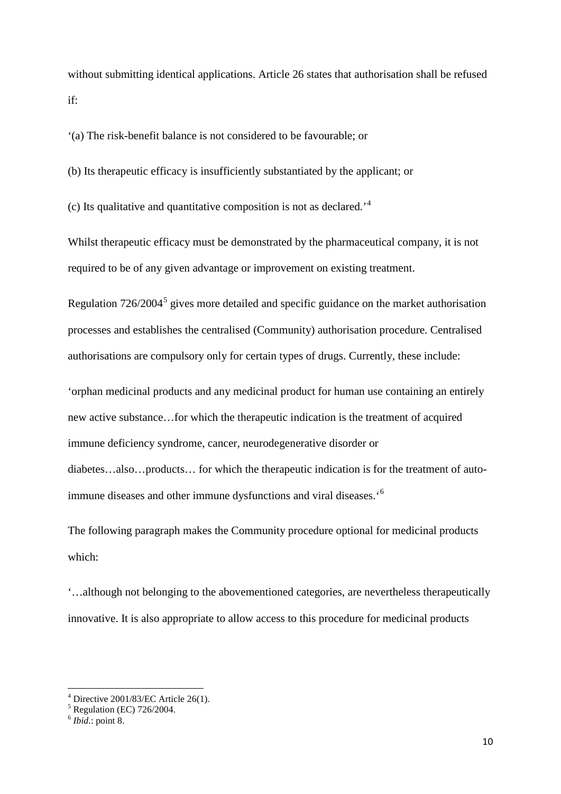without submitting identical applications. Article 26 states that authorisation shall be refused if:

'(a) The risk-benefit balance is not considered to be favourable; or

(b) Its therapeutic efficacy is insufficiently substantiated by the applicant; or

(c) Its qualitative and quantitative composition is not as declared.'[4](#page-10-0)

Whilst therapeutic efficacy must be demonstrated by the pharmaceutical company, it is not required to be of any given advantage or improvement on existing treatment.

Regulation  $726/2004^5$  $726/2004^5$  gives more detailed and specific guidance on the market authorisation processes and establishes the centralised (Community) authorisation procedure. Centralised authorisations are compulsory only for certain types of drugs. Currently, these include:

'orphan medicinal products and any medicinal product for human use containing an entirely new active substance…for which the therapeutic indication is the treatment of acquired immune deficiency syndrome, cancer, neurodegenerative disorder or diabetes…also…products… for which the therapeutic indication is for the treatment of autoimmune diseases and other immune dysfunctions and viral diseases.'[6](#page-10-2)

The following paragraph makes the Community procedure optional for medicinal products which:

'…although not belonging to the abovementioned categories, are nevertheless therapeutically innovative. It is also appropriate to allow access to this procedure for medicinal products

<span id="page-10-0"></span> $^{4}$  Directive 2001/83/EC Article 26(1).<br> $^{5}$  Regulation (EC) 726/2004.

<span id="page-10-2"></span><span id="page-10-1"></span> $6$  *Ibid.*: point 8.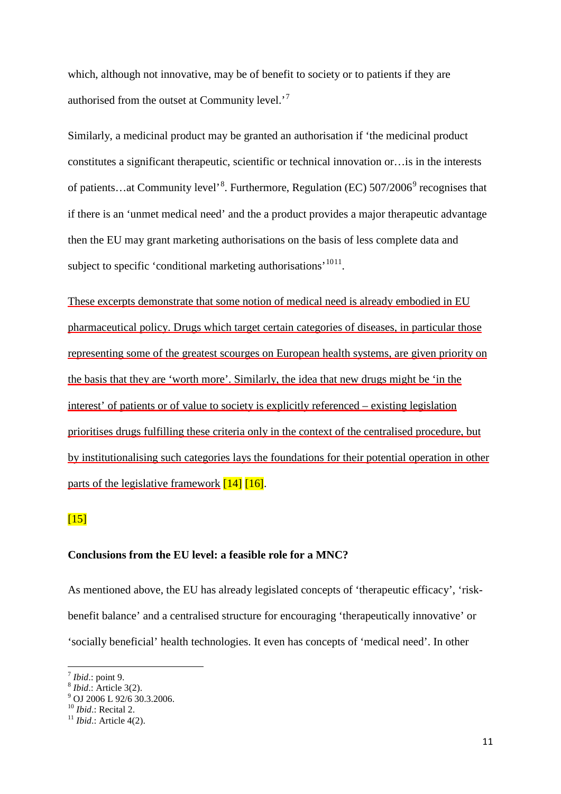which, although not innovative, may be of benefit to society or to patients if they are authorised from the outset at Community level.<sup>[7](#page-11-0)</sup>

Similarly, a medicinal product may be granted an authorisation if 'the medicinal product constitutes a significant therapeutic, scientific or technical innovation or…is in the interests of patients...at Community level'<sup>[8](#page-11-1)</sup>. Furthermore, Regulation (EC) 507/2006<sup>[9](#page-11-2)</sup> recognises that if there is an 'unmet medical need' and the a product provides a major therapeutic advantage then the EU may grant marketing authorisations on the basis of less complete data and subject to specific 'conditional marketing authorisations'<sup>[10](#page-11-3)[11](#page-11-4)</sup>.

These excerpts demonstrate that some notion of medical need is already embodied in EU pharmaceutical policy. Drugs which target certain categories of diseases, in particular those representing some of the greatest scourges on European health systems, are given priority on the basis that they are 'worth more'. Similarly, the idea that new drugs might be 'in the interest' of patients or of value to society is explicitly referenced – existing legislation prioritises drugs fulfilling these criteria only in the context of the centralised procedure, but by institutionalising such categories lays the foundations for their potential operation in other parts of the legislative framework  $[14]$  [16].

# $[15]$

### **Conclusions from the EU level: a feasible role for a MNC?**

As mentioned above, the EU has already legislated concepts of 'therapeutic efficacy', 'riskbenefit balance' and a centralised structure for encouraging 'therapeutically innovative' or 'socially beneficial' health technologies. It even has concepts of 'medical need'. In other

<span id="page-11-2"></span><span id="page-11-1"></span>

<span id="page-11-0"></span><sup>&</sup>lt;sup>7</sup> *Ibid.*: point 9.<br><sup>8</sup> *Ibid.*: Article 3(2).<br><sup>9</sup> OJ 2006 L 92/6 30.3.2006.<br><sup>10</sup> *Ibid.*: Recital 2.

<span id="page-11-4"></span><span id="page-11-3"></span> $11$  *Ibid.*: Article 4(2).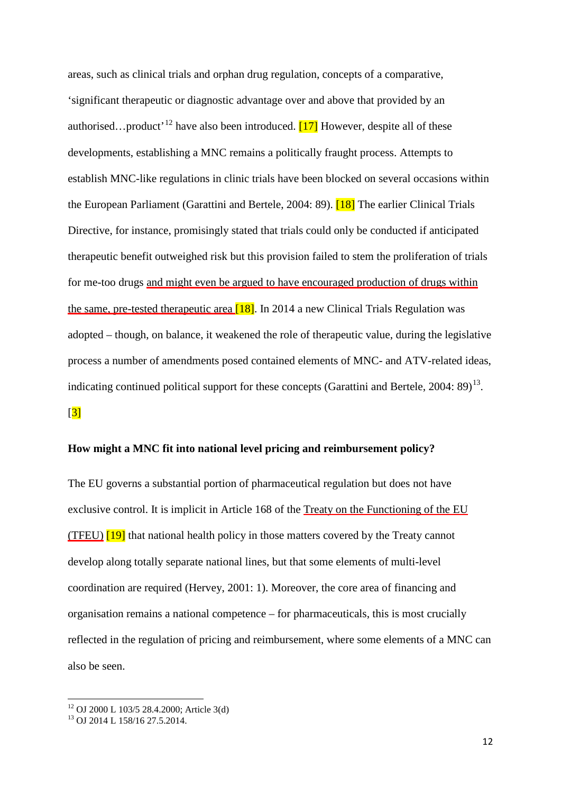areas, such as clinical trials and orphan drug regulation, concepts of a comparative, 'significant therapeutic or diagnostic advantage over and above that provided by an authorised...product<sup>'[12](#page-12-0)</sup> have also been introduced.  $[17]$  However, despite all of these developments, establishing a MNC remains a politically fraught process. Attempts to establish MNC-like regulations in clinic trials have been blocked on several occasions within the European Parliament (Garattini and Bertele, 2004: 89). [18] The earlier Clinical Trials Directive, for instance, promisingly stated that trials could only be conducted if anticipated therapeutic benefit outweighed risk but this provision failed to stem the proliferation of trials for me-too drugs and might even be argued to have encouraged production of drugs within the same, pre-tested therapeutic area  $[18]$ . In 2014 a new Clinical Trials Regulation was adopted – though, on balance, it weakened the role of therapeutic value, during the legislative process a number of amendments posed contained elements of MNC- and ATV-related ideas, indicating continued political support for these concepts (Garattini and Bertele,  $2004: 89$ )<sup>[13](#page-12-1)</sup>.

# $\sqrt{3}$

#### **How might a MNC fit into national level pricing and reimbursement policy?**

The EU governs a substantial portion of pharmaceutical regulation but does not have exclusive control. It is implicit in Article 168 of the Treaty on the Functioning of the EU (TFEU) [19] that national health policy in those matters covered by the Treaty cannot develop along totally separate national lines, but that some elements of multi-level coordination are required (Hervey, 2001: 1). Moreover, the core area of financing and organisation remains a national competence – for pharmaceuticals, this is most crucially reflected in the regulation of pricing and reimbursement, where some elements of a MNC can also be seen.

<span id="page-12-0"></span><sup>&</sup>lt;sup>12</sup> OJ 2000 L 103/5 28.4.2000; Article 3(d) <sup>13</sup> OJ 2014 L 158/16 27.5.2014.

<span id="page-12-1"></span>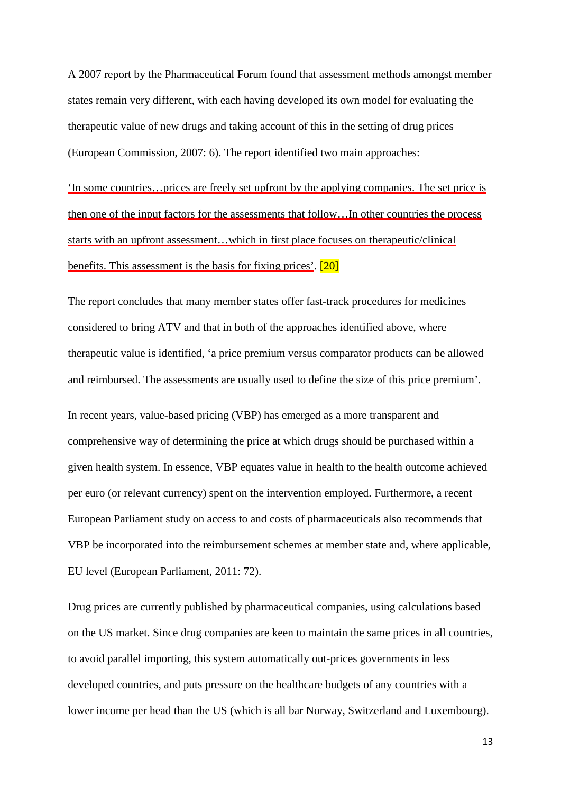A 2007 report by the Pharmaceutical Forum found that assessment methods amongst member states remain very different, with each having developed its own model for evaluating the therapeutic value of new drugs and taking account of this in the setting of drug prices (European Commission, 2007: 6). The report identified two main approaches:

'In some countries…prices are freely set upfront by the applying companies. The set price is then one of the input factors for the assessments that follow…In other countries the process starts with an upfront assessment…which in first place focuses on therapeutic/clinical benefits. This assessment is the basis for fixing prices'.  $[20]$ 

The report concludes that many member states offer fast-track procedures for medicines considered to bring ATV and that in both of the approaches identified above, where therapeutic value is identified, 'a price premium versus comparator products can be allowed and reimbursed. The assessments are usually used to define the size of this price premium'.

In recent years, value-based pricing (VBP) has emerged as a more transparent and comprehensive way of determining the price at which drugs should be purchased within a given health system. In essence, VBP equates value in health to the health outcome achieved per euro (or relevant currency) spent on the intervention employed. Furthermore, a recent European Parliament study on access to and costs of pharmaceuticals also recommends that VBP be incorporated into the reimbursement schemes at member state and, where applicable, EU level (European Parliament, 2011: 72).

Drug prices are currently published by pharmaceutical companies, using calculations based on the US market. Since drug companies are keen to maintain the same prices in all countries, to avoid parallel importing, this system automatically out-prices governments in less developed countries, and puts pressure on the healthcare budgets of any countries with a lower income per head than the US (which is all bar Norway, Switzerland and Luxembourg).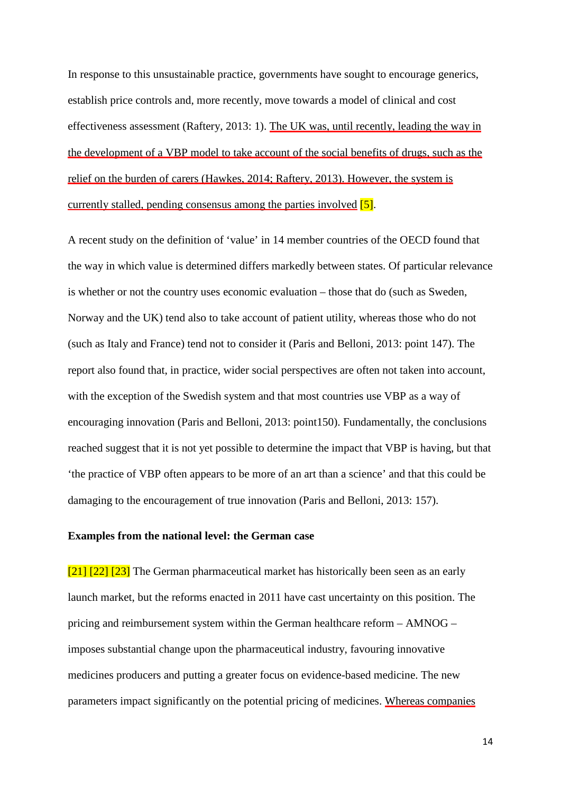In response to this unsustainable practice, governments have sought to encourage generics, establish price controls and, more recently, move towards a model of clinical and cost effectiveness assessment (Raftery, 2013: 1). The UK was, until recently, leading the way in the development of a VBP model to take account of the social benefits of drugs, such as the relief on the burden of carers (Hawkes, 2014; Raftery, 2013). However, the system is currently stalled, pending consensus among the parties involved  $[5]$ .

A recent study on the definition of 'value' in 14 member countries of the OECD found that the way in which value is determined differs markedly between states. Of particular relevance is whether or not the country uses economic evaluation – those that do (such as Sweden, Norway and the UK) tend also to take account of patient utility, whereas those who do not (such as Italy and France) tend not to consider it (Paris and Belloni, 2013: point 147). The report also found that, in practice, wider social perspectives are often not taken into account, with the exception of the Swedish system and that most countries use VBP as a way of encouraging innovation (Paris and Belloni, 2013: point150). Fundamentally, the conclusions reached suggest that it is not yet possible to determine the impact that VBP is having, but that 'the practice of VBP often appears to be more of an art than a science' and that this could be damaging to the encouragement of true innovation (Paris and Belloni, 2013: 157).

#### **Examples from the national level: the German case**

[21] [22] [23] The German pharmaceutical market has historically been seen as an early launch market, but the reforms enacted in 2011 have cast uncertainty on this position. The pricing and reimbursement system within the German healthcare reform – AMNOG – imposes substantial change upon the pharmaceutical industry, favouring innovative medicines producers and putting a greater focus on evidence-based medicine. The new parameters impact significantly on the potential pricing of medicines. Whereas companies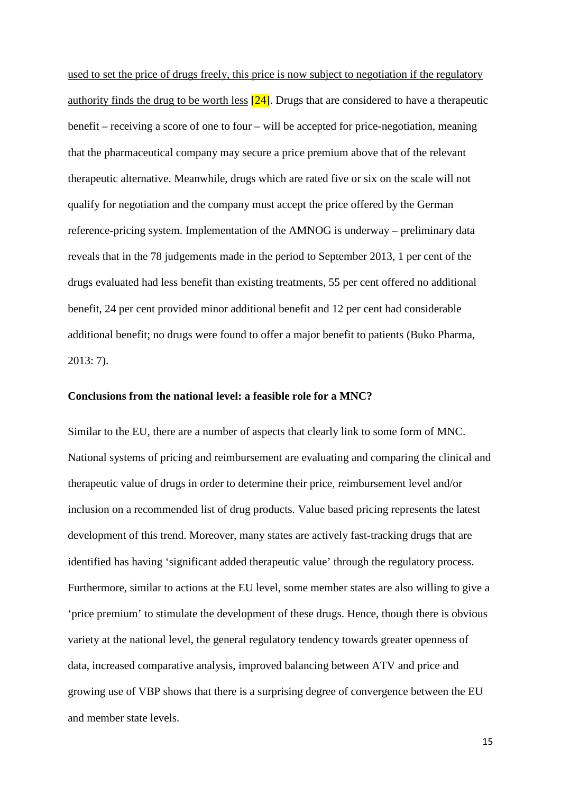used to set the price of drugs freely, this price is now subject to negotiation if the regulatory authority finds the drug to be worth less  $[24]$ . Drugs that are considered to have a therapeutic benefit – receiving a score of one to four – will be accepted for price-negotiation, meaning that the pharmaceutical company may secure a price premium above that of the relevant therapeutic alternative. Meanwhile, drugs which are rated five or six on the scale will not qualify for negotiation and the company must accept the price offered by the German reference-pricing system. Implementation of the AMNOG is underway – preliminary data reveals that in the 78 judgements made in the period to September 2013, 1 per cent of the drugs evaluated had less benefit than existing treatments, 55 per cent offered no additional benefit, 24 per cent provided minor additional benefit and 12 per cent had considerable additional benefit; no drugs were found to offer a major benefit to patients (Buko Pharma, 2013: 7).

#### **Conclusions from the national level: a feasible role for a MNC?**

Similar to the EU, there are a number of aspects that clearly link to some form of MNC. National systems of pricing and reimbursement are evaluating and comparing the clinical and therapeutic value of drugs in order to determine their price, reimbursement level and/or inclusion on a recommended list of drug products. Value based pricing represents the latest development of this trend. Moreover, many states are actively fast-tracking drugs that are identified has having 'significant added therapeutic value' through the regulatory process. Furthermore, similar to actions at the EU level, some member states are also willing to give a 'price premium' to stimulate the development of these drugs. Hence, though there is obvious variety at the national level, the general regulatory tendency towards greater openness of data, increased comparative analysis, improved balancing between ATV and price and growing use of VBP shows that there is a surprising degree of convergence between the EU and member state levels.

15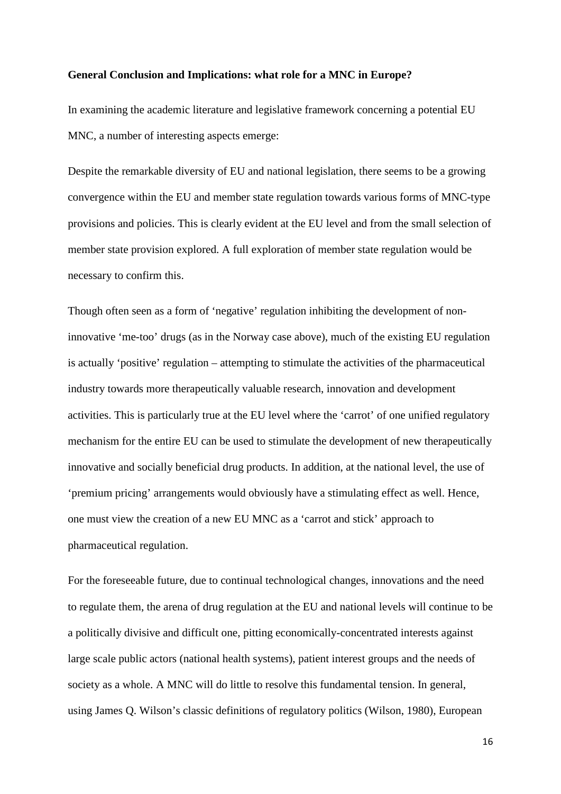#### **General Conclusion and Implications: what role for a MNC in Europe?**

In examining the academic literature and legislative framework concerning a potential EU MNC, a number of interesting aspects emerge:

Despite the remarkable diversity of EU and national legislation, there seems to be a growing convergence within the EU and member state regulation towards various forms of MNC-type provisions and policies. This is clearly evident at the EU level and from the small selection of member state provision explored. A full exploration of member state regulation would be necessary to confirm this.

Though often seen as a form of 'negative' regulation inhibiting the development of noninnovative 'me-too' drugs (as in the Norway case above), much of the existing EU regulation is actually 'positive' regulation – attempting to stimulate the activities of the pharmaceutical industry towards more therapeutically valuable research, innovation and development activities. This is particularly true at the EU level where the 'carrot' of one unified regulatory mechanism for the entire EU can be used to stimulate the development of new therapeutically innovative and socially beneficial drug products. In addition, at the national level, the use of 'premium pricing' arrangements would obviously have a stimulating effect as well. Hence, one must view the creation of a new EU MNC as a 'carrot and stick' approach to pharmaceutical regulation.

For the foreseeable future, due to continual technological changes, innovations and the need to regulate them, the arena of drug regulation at the EU and national levels will continue to be a politically divisive and difficult one, pitting economically-concentrated interests against large scale public actors (national health systems), patient interest groups and the needs of society as a whole. A MNC will do little to resolve this fundamental tension. In general, using James Q. Wilson's classic definitions of regulatory politics (Wilson, 1980), European

16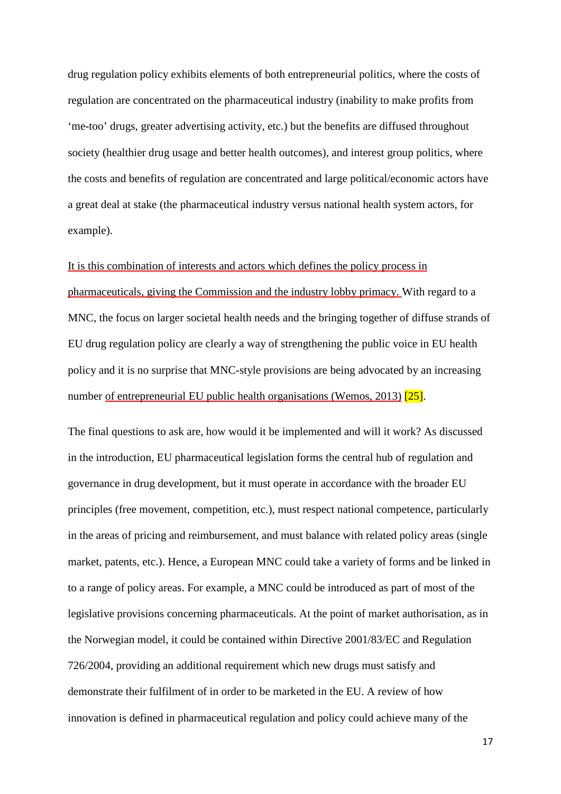drug regulation policy exhibits elements of both entrepreneurial politics, where the costs of regulation are concentrated on the pharmaceutical industry (inability to make profits from 'me-too' drugs, greater advertising activity, etc.) but the benefits are diffused throughout society (healthier drug usage and better health outcomes), and interest group politics, where the costs and benefits of regulation are concentrated and large political/economic actors have a great deal at stake (the pharmaceutical industry versus national health system actors, for example).

It is this combination of interests and actors which defines the policy process in pharmaceuticals, giving the Commission and the industry lobby primacy. With regard to a MNC, the focus on larger societal health needs and the bringing together of diffuse strands of EU drug regulation policy are clearly a way of strengthening the public voice in EU health policy and it is no surprise that MNC-style provisions are being advocated by an increasing number of entrepreneurial EU public health organisations (Wemos, 2013) [25].

The final questions to ask are, how would it be implemented and will it work? As discussed in the introduction, EU pharmaceutical legislation forms the central hub of regulation and governance in drug development, but it must operate in accordance with the broader EU principles (free movement, competition, etc.), must respect national competence, particularly in the areas of pricing and reimbursement, and must balance with related policy areas (single market, patents, etc.). Hence, a European MNC could take a variety of forms and be linked in to a range of policy areas. For example, a MNC could be introduced as part of most of the legislative provisions concerning pharmaceuticals. At the point of market authorisation, as in the Norwegian model, it could be contained within Directive 2001/83/EC and Regulation 726/2004, providing an additional requirement which new drugs must satisfy and demonstrate their fulfilment of in order to be marketed in the EU. A review of how innovation is defined in pharmaceutical regulation and policy could achieve many of the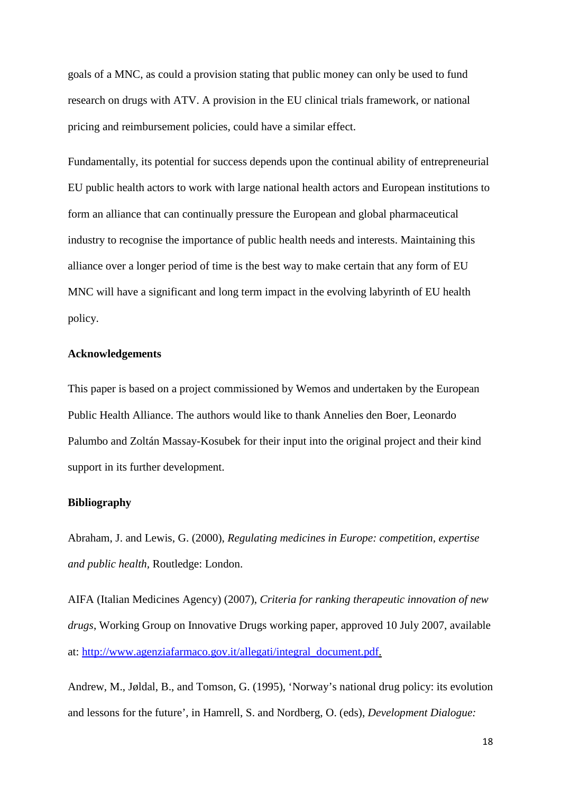goals of a MNC, as could a provision stating that public money can only be used to fund research on drugs with ATV. A provision in the EU clinical trials framework, or national pricing and reimbursement policies, could have a similar effect.

Fundamentally, its potential for success depends upon the continual ability of entrepreneurial EU public health actors to work with large national health actors and European institutions to form an alliance that can continually pressure the European and global pharmaceutical industry to recognise the importance of public health needs and interests. Maintaining this alliance over a longer period of time is the best way to make certain that any form of EU MNC will have a significant and long term impact in the evolving labyrinth of EU health policy.

#### **Acknowledgements**

This paper is based on a project commissioned by Wemos and undertaken by the European Public Health Alliance. The authors would like to thank Annelies den Boer, Leonardo Palumbo and Zoltán Massay-Kosubek for their input into the original project and their kind support in its further development.

#### **Bibliography**

Abraham, J. and Lewis, G. (2000), *Regulating medicines in Europe: competition, expertise and public health,* Routledge: London.

AIFA (Italian Medicines Agency) (2007), *Criteria for ranking therapeutic innovation of new drugs*, Working Group on Innovative Drugs working paper, approved 10 July 2007, available at: [http://www.agenziafarmaco.gov.it/allegati/integral\\_document.pdf.](http://www.agenziafarmaco.gov.it/allegati/integral_document.pdf)

Andrew, M., Jøldal, B., and Tomson, G. (1995), 'Norway's national drug policy: its evolution and lessons for the future', in Hamrell, S. and Nordberg, O. (eds), *Development Dialogue:*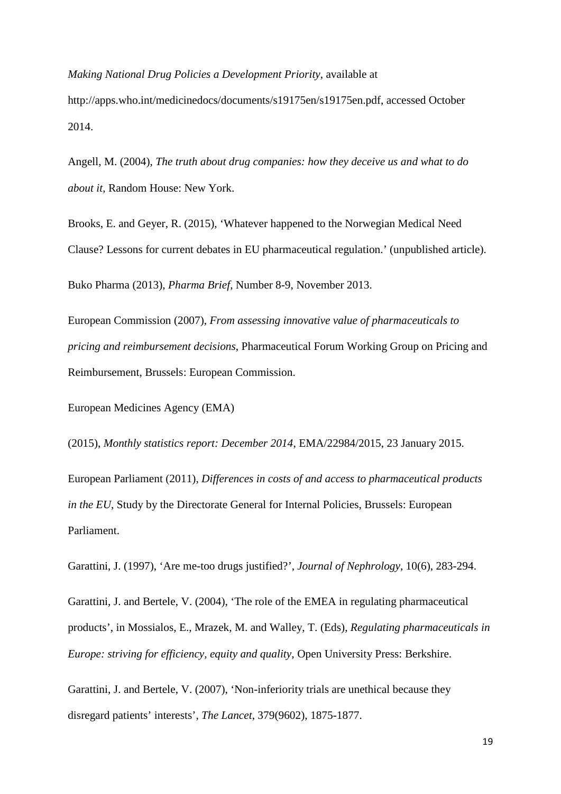*Making National Drug Policies a Development Priority*, available at http://apps.who.int/medicinedocs/documents/s19175en/s19175en.pdf, accessed October 2014.

Angell, M. (2004), *The truth about drug companies: how they deceive us and what to do about it*, Random House: New York.

Brooks, E. and Geyer, R. (2015), 'Whatever happened to the Norwegian Medical Need Clause? Lessons for current debates in EU pharmaceutical regulation.' (unpublished article).

Buko Pharma (2013), *Pharma Brief*, Number 8-9, November 2013.

European Commission (2007), *From assessing innovative value of pharmaceuticals to pricing and reimbursement decisions*, Pharmaceutical Forum Working Group on Pricing and Reimbursement, Brussels: European Commission.

European Medicines Agency (EMA)

(2015), *Monthly statistics report: December 2014*, EMA/22984/2015, 23 January 2015.

European Parliament (2011), *Differences in costs of and access to pharmaceutical products in the EU*, Study by the Directorate General for Internal Policies, Brussels: European Parliament.

Garattini, J. (1997), 'Are me-too drugs justified?', *Journal of Nephrology*, 10(6), 283-294.

Garattini, J. and Bertele, V. (2004), 'The role of the EMEA in regulating pharmaceutical products', in Mossialos, E., Mrazek, M. and Walley, T. (Eds), *Regulating pharmaceuticals in Europe: striving for efficiency, equity and quality*, Open University Press: Berkshire.

Garattini, J. and Bertele, V. (2007), 'Non-inferiority trials are unethical because they disregard patients' interests', *The Lancet*, 379(9602), 1875-1877.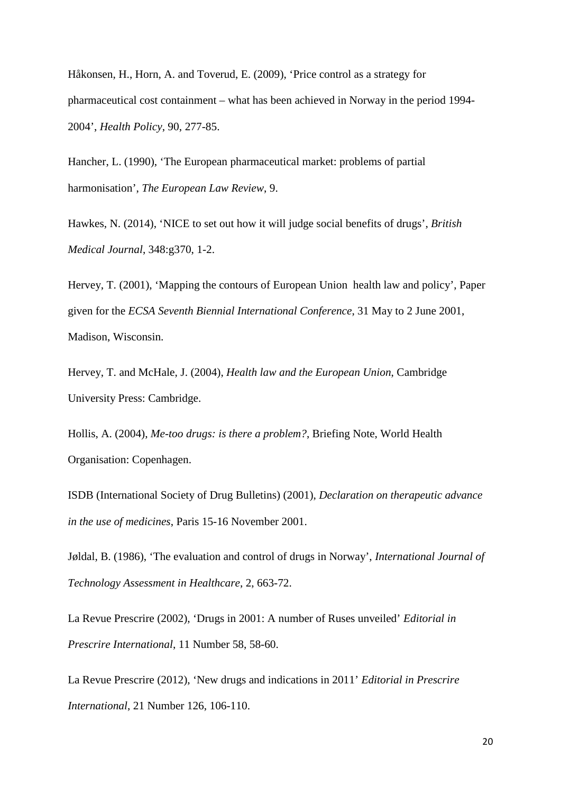Håkonsen, H., Horn, A. and Toverud, E. (2009), 'Price control as a strategy for pharmaceutical cost containment – what has been achieved in Norway in the period 1994- 2004', *Health Policy*, 90, 277-85.

Hancher, L. (1990), 'The European pharmaceutical market: problems of partial harmonisation', *The European Law Review*, 9.

Hawkes, N. (2014), 'NICE to set out how it will judge social benefits of drugs', *British Medical Journal*, 348:g370, 1-2.

Hervey, T. (2001), 'Mapping the contours of European Union health law and policy', Paper given for the *ECSA Seventh Biennial International Conference*, 31 May to 2 June 2001, Madison, Wisconsin.

Hervey, T. and McHale, J. (2004), *Health law and the European Union*, Cambridge University Press: Cambridge.

Hollis, A. (2004), *Me-too drugs: is there a problem?*, Briefing Note, World Health Organisation: Copenhagen.

ISDB (International Society of Drug Bulletins) (2001), *Declaration on therapeutic advance in the use of medicines*, Paris 15-16 November 2001.

Jøldal, B. (1986), 'The evaluation and control of drugs in Norway', *International Journal of Technology Assessment in Healthcare*, 2, 663-72.

La Revue Prescrire (2002), 'Drugs in 2001: A number of Ruses unveiled' *Editorial in Prescrire International*, 11 Number 58, 58-60.

La Revue Prescrire (2012), 'New drugs and indications in 2011' *Editorial in Prescrire International*, 21 Number 126, 106-110.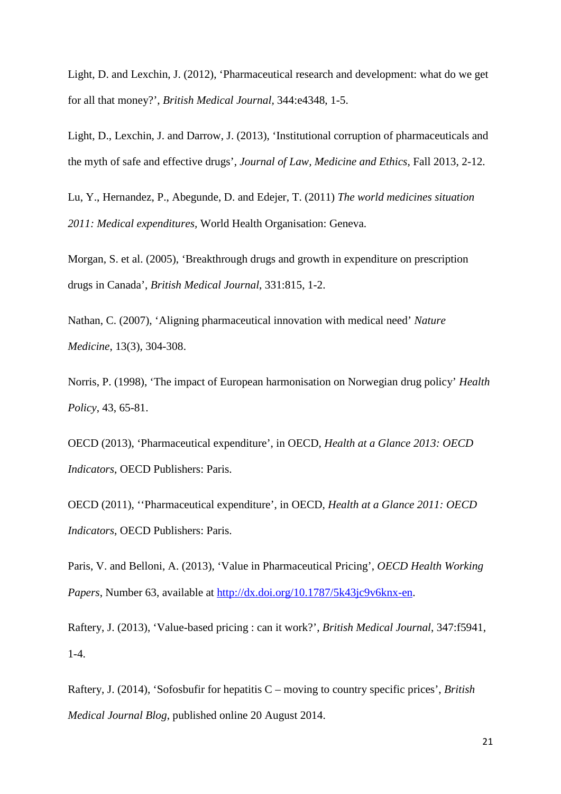Light, D. and Lexchin, J. (2012), 'Pharmaceutical research and development: what do we get for all that money?', *British Medical Journal,* 344:e4348, 1-5.

Light, D., Lexchin, J. and Darrow, J. (2013), 'Institutional corruption of pharmaceuticals and the myth of safe and effective drugs', *Journal of Law, Medicine and Ethics*, Fall 2013, 2-12.

Lu, Y., Hernandez, P., Abegunde, D. and Edejer, T. (2011) *The world medicines situation 2011: Medical expenditures,* World Health Organisation: Geneva.

Morgan, S. et al. (2005), 'Breakthrough drugs and growth in expenditure on prescription drugs in Canada', *British Medical Journal*, 331:815, 1-2.

Nathan, C. (2007), 'Aligning pharmaceutical innovation with medical need' *Nature Medicine*, 13(3), 304-308.

Norris, P. (1998), 'The impact of European harmonisation on Norwegian drug policy' *Health Policy*, 43, 65-81.

OECD (2013), 'Pharmaceutical expenditure', in OECD, *Health at a Glance 2013: OECD Indicators*, OECD Publishers: Paris.

OECD (2011), ''Pharmaceutical expenditure', in OECD, *Health at a Glance 2011: OECD Indicators*, OECD Publishers: Paris.

Paris, V. and Belloni, A. (2013), 'Value in Pharmaceutical Pricing', *OECD Health Working Papers*, Number 63, available at [http://dx.doi.org/10.1787/5k43jc9v6knx-en.](http://dx.doi.org/10.1787/5k43jc9v6knx-en)

Raftery, J. (2013), 'Value-based pricing : can it work?', *British Medical Journal*, 347:f5941, 1-4.

Raftery, J. (2014), 'Sofosbufir for hepatitis C – moving to country specific prices', *British Medical Journal Blog*, published online 20 August 2014.